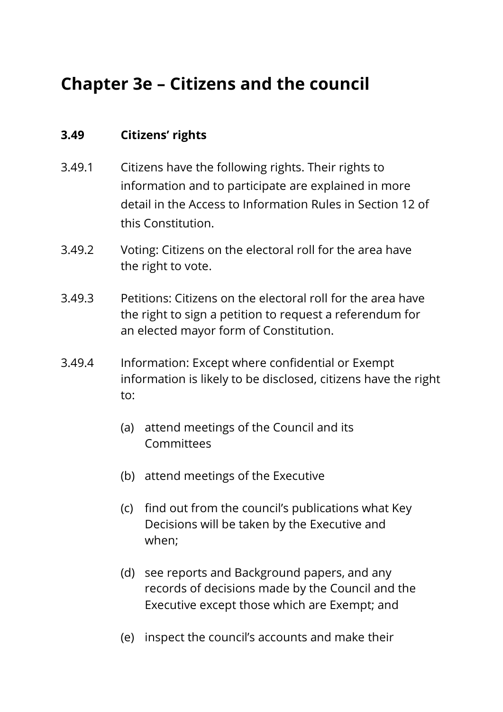## **Chapter 3e – Citizens and the council**

## **3.49 Citizens' rights**

- 3.49.1 Citizens have the following rights. Their rights to information and to participate are explained in more detail in the Access to Information Rules in Section 12 of this Constitution.
- 3.49.2 Voting: Citizens on the electoral roll for the area have the right to vote.
- 3.49.3 Petitions: Citizens on the electoral roll for the area have the right to sign a petition to request a referendum for an elected mayor form of Constitution.
- 3.49.4 Information: Except where confidential or Exempt information is likely to be disclosed, citizens have the right to:
	- (a) attend meetings of the Council and its Committees
	- (b) attend meetings of the Executive
	- (c) find out from the council's publications what Key Decisions will be taken by the Executive and when;
	- (d) see reports and Background papers, and any records of decisions made by the Council and the Executive except those which are Exempt; and
	- (e) inspect the council's accounts and make their